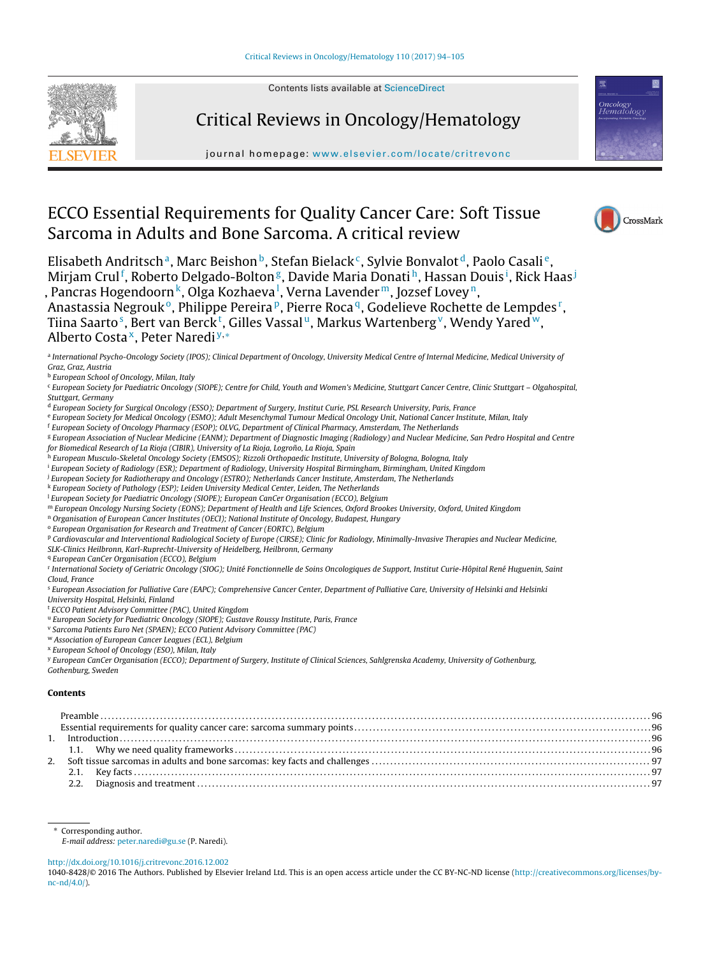Contents lists available at [ScienceDirect](http://www.sciencedirect.com/science/journal/10408428)



## Critical Reviews in Oncology/Hematology

iournal homepage: [www.elsevier.com/locate/critrevonc](http://www.elsevier.com/locate/critrevonc)



# ECCO Essential Requirements for Quality Cancer Care: Soft Tissue Sarcoma in Adults and Bone Sarcoma. A critical review



Elisabeth Andritsch<sup>a</sup>, Marc Beishon<sup>b</sup>, Stefan Bielack<sup>c</sup>, Sylvie Bonvalot<sup>d</sup>, Paolo Casali<sup>e</sup>, Mirjam Crul<sup>f</sup>, Roberto Delgado-Bolton<sup>g</sup>, Davide Maria Donati<sup>h</sup>, Hassan Douis<sup>i</sup>, Rick Haas<sup>j</sup> , Pancras Hogendoorn $^{\rm k}$ , Olga Kozhaeva<sup>1</sup>, Verna Lavender™, Jozsef Lovey™, Anastassia Negroukº, Philippe Pereiraº, Pierre Rocaª, Godelieve Rochette de Lempdes', Tiina Saarto<sup>s</sup>, Bert van Berck<sup>t</sup>, Gilles Vassal<u>u,</u> Markus Wartenberg<sup>v</sup>, Wendy Yared<sup>w</sup>, Alberto Costa<sup>x</sup>, Peter Naredi<sup>y,\*</sup>

a International Psycho-Oncology Society (IPOS); Clinical Department of Oncology, University Medical Centre of Internal Medicine, Medical University of Graz, Graz, Austria

**b European School of Oncology, Milan, Italy** 

<sup>c</sup> European Society for Paediatric Oncology (SIOPE); Centre for Child, Youth and Women's Medicine, Stuttgart Cancer Centre, Clinic Stuttgart – Olgahospital, Stuttgart, Germany

<sup>d</sup> European Society for Surgical Oncology (ESSO); Department of Surgery, Institut Curie, PSL Research University, Paris, France

e European Society for Medical Oncology (ESMO); Adult Mesenchymal Tumour Medical Oncology Unit, National Cancer Institute, Milan, Italy

<sup>f</sup> European Society of Oncology Pharmacy (ESOP); OLVG, Department of Clinical Pharmacy, Amsterdam, The Netherlands

<sup>g</sup> European Association of Nuclear Medicine (EANM); Department of Diagnostic Imaging (Radiology) and Nuclear Medicine, San Pedro Hospital and Centre

for Biomedical Research of La Rioja (CIBIR), University of La Rioja, Logroño, La Rioja, Spain h European Musculo-Skeletal Oncology Society (EMSOS); Rizzoli Orthopaedic Institute, University of Bologna, Bologna, Italy

<sup>i</sup> European Society of Radiology (ESR); Department of Radiology, University Hospital Birmingham, Birmingham, United Kingdom

<sup>j</sup> European Society for Radiotherapy and Oncology (ESTRO); Netherlands Cancer Institute, Amsterdam, The Netherlands

k European Society of Pathology (ESP); Leiden University Medical Center, Leiden, The Netherlands

<sup>1</sup> European Society for Paediatric Oncology (SIOPE); European CanCer Organisation (ECCO), Belgium

<sup>m</sup> European Oncology Nursing Society (EONS); Department of Health and Life Sciences, Oxford Brookes University, Oxford, United Kingdom

<sup>n</sup> Organisation of European Cancer Institutes (OECI); National Institute of Oncology, Budapest, Hungary

<sup>o</sup> European Organisation for Research and Treatment of Cancer (EORTC), Belgium

<sup>p</sup> Cardiovascular and Interventional Radiological Society of Europe (CIRSE); Clinic for Radiology, Minimally-Invasive Therapies and Nuclear Medicine,

SLK-Clinics Heilbronn, Karl-Ruprecht-University of Heidelberg, Heilbronn, Germany

<sup>q</sup> European CanCer Organisation (ECCO), Belgium

<sup>r</sup> International Society of Geriatric Oncology (SIOG); Unité Fonctionnelle de Soins Oncologiques de Support, Institut Curie-Hôpital René Huguenin, Saint Cloud, France

<sup>s</sup> European Association for Palliative Care (EAPC); Comprehensive Cancer Center, Department of Palliative Care, University of Helsinki and Helsinki University Hospital, Helsinki, Finland

<sup>t</sup> ECCO Patient Advisory Committee (PAC), United Kingdom

<sup>u</sup> European Society for Paediatric Oncology (SIOPE); Gustave Roussy Institute, Paris, France

<sup>v</sup> Sarcoma Patients Euro Net (SPAEN); ECCO Patient Advisory Committee (PAC)

<sup>w</sup> Association of European Cancer Leagues (ECL), Belgium <sup>x</sup> European School of Oncology (ESO), Milan, Italy

y European CanCer Organisation (ECCO); Department of Surgery, Institute of Clinical Sciences, Sahlgrenska Academy, University of Gothenburg,

Gothenburg, Sweden

## **Contents**

∗ Corresponding author.

E-mail address: [peter.naredi@gu.se](mailto:peter.naredi@gu.se) (P. Naredi).

[http://dx.doi.org/10.1016/j.critrevonc.2016.12.002](dx.doi.org/10.1016/j.critrevonc.2016.12.002)

1040-8428/© 2016 The Authors. Published by Elsevier Ireland Ltd. This is an open access article under the CC BY-NC-ND license [\(http://creativecommons.org/licenses/by](http://creativecommons.org/licenses/by-nc-nd/4.0/)[nc-nd/4.0/\)](http://creativecommons.org/licenses/by-nc-nd/4.0/).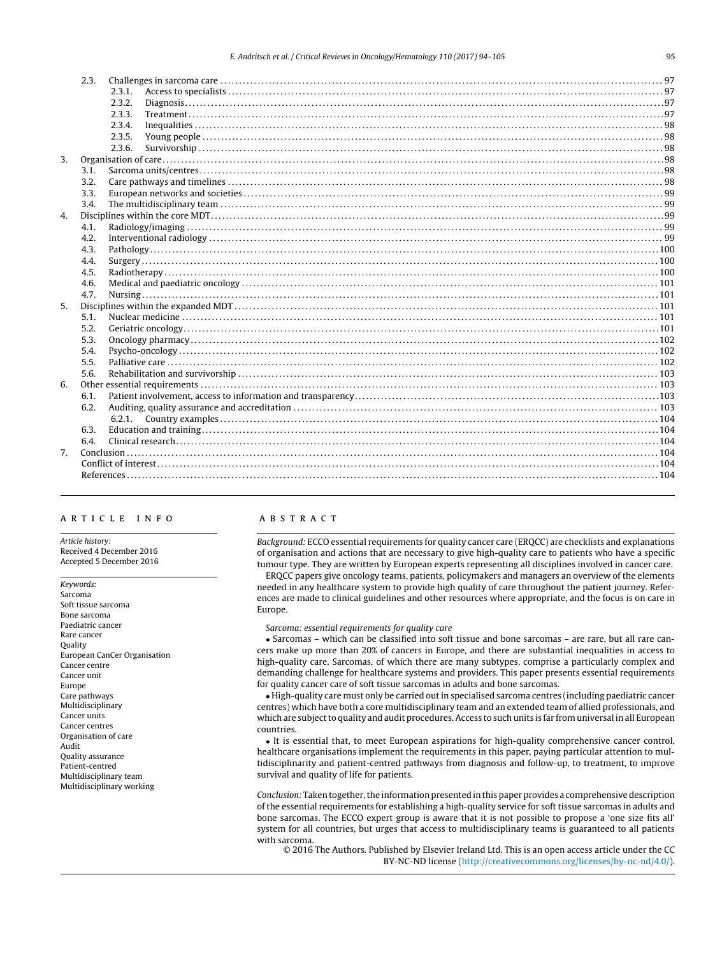|                  | 2.3. |        |  |
|------------------|------|--------|--|
|                  |      | 2.3.1. |  |
|                  |      | 2.3.2. |  |
|                  |      | 2.3.3. |  |
|                  |      | 2.3.4. |  |
|                  |      | 2.3.5. |  |
|                  |      | 2.3.6. |  |
| 3.               |      |        |  |
|                  | 3.1. |        |  |
|                  | 3.2. |        |  |
|                  | 3.3. |        |  |
|                  | 3.4. |        |  |
| $\overline{4}$ . |      |        |  |
|                  | 4.1. |        |  |
|                  | 4.2. |        |  |
|                  | 4.3. |        |  |
|                  | 4.4. |        |  |
|                  | 4.5. |        |  |
|                  | 4.6. |        |  |
|                  | 4.7. |        |  |
| 5.               |      |        |  |
|                  | 5.1. |        |  |
|                  | 5.2. |        |  |
|                  | 5.3. |        |  |
|                  | 5.4. |        |  |
|                  | 5.5. |        |  |
|                  | 5.6. |        |  |
| 6.               |      |        |  |
|                  | 6.1. |        |  |
|                  | 6.2. |        |  |
|                  |      | 6.2.1. |  |
|                  | 6.3. |        |  |
|                  | 6.4. |        |  |
| 7.               |      |        |  |
|                  |      |        |  |
|                  |      |        |  |
|                  |      |        |  |

#### ARTICLE INFO

Article history: Received 4 December 2016 Accepted 5 December 2016

Keywords: Sarcoma Soft tissue sarcoma Bone sarcoma Paediatric cancer Rare cancer **Ouality** European CanCer Organisation Cancer centre Cancer unit Europe Care pathways Multidisciplinary Cancer units Cancer centres Organisation of care Audit Quality assurance Patient-centred Multidisciplinary team Multidisciplinary working

## a b s t r a c t

Background: ECCO essential requirements for quality cancer care (ERQCC) are checklists and explanations of organisation and actions that are necessary to give high-quality care to patients who have a specific tumour type. They are written by European experts representing all disciplines involved in cancer care. ERQCC papers give oncology teams, patients, policymakers and managers an overview of the elements

needed in any healthcare system to provide high quality of care throughout the patient journey. References are made to clinical guidelines and other resources where appropriate, and the focus is on care in Europe.

#### Sarcoma: essential requirements for quality care

• Sarcomas – which can be classified into soft tissue and bone sarcomas – are rare, but all rare cancers make up more than 20% of cancers in Europe, and there are substantial inequalities in access to high-quality care. Sarcomas, of which there are many subtypes, comprise a particularly complex and demanding challenge for healthcare systems and providers. This paper presents essential requirements for quality cancer care of soft tissue sarcomas in adults and bone sarcomas.

• High-quality care must only be carried outin specialised sarcoma centres (including paediatric cancer centres) which have both a core multidisciplinary team and an extended team of allied professionals, and which are subject to quality and audit procedures. Access to such units is far from universal in all European countries.

• It is essential that, to meet European aspirations for high-quality comprehensive cancer control, healthcare organisations implement the requirements in this paper, paying particular attention to multidisciplinarity and patient-centred pathways from diagnosis and follow-up, to treatment, to improve survival and quality of life for patients.

Conclusion: Taken together, the information presented in this paper provides a comprehensive description of the essential requirements for establishing a high-quality service for soft tissue sarcomas in adults and bone sarcomas. The ECCO expert group is aware that it is not possible to propose a 'one size fits all' system for all countries, but urges that access to multidisciplinary teams is guaranteed to all patients with sarcoma.

© 2016 The Authors. Published by Elsevier Ireland Ltd. This is an open access article under the CC BY-NC-ND license [\(http://creativecommons.org/licenses/by-nc-nd/4.0/](http://creativecommons.org/licenses/by-nc-nd/4.0/)).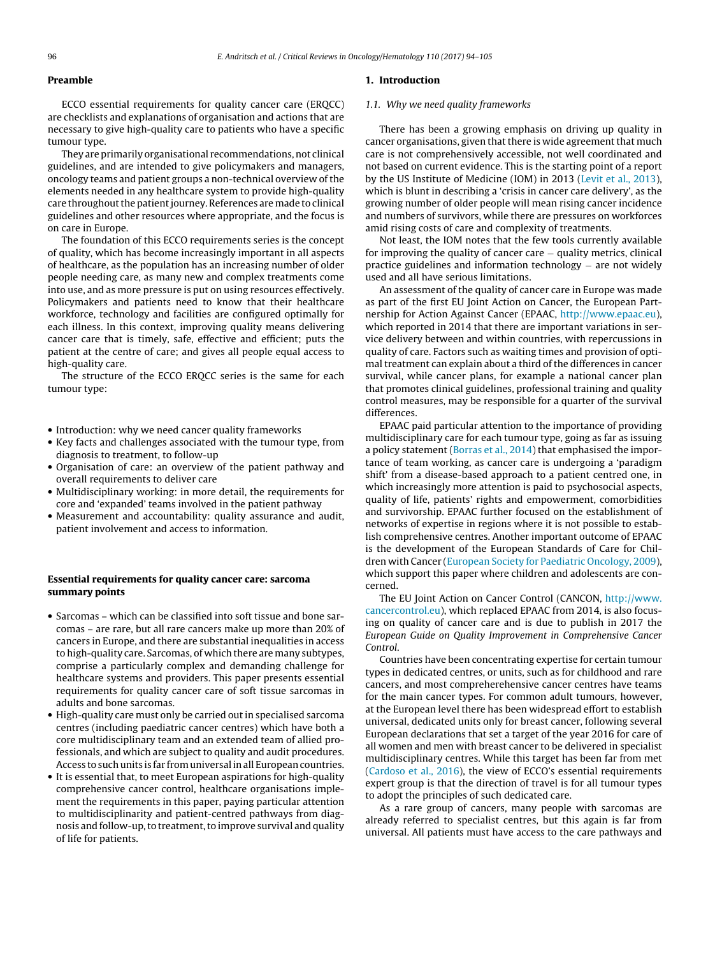#### **Preamble**

ECCO essential requirements for quality cancer care (ERQCC) are checklists and explanations of organisation and actions that are necessary to give high-quality care to patients who have a specific tumour type.

They are primarily organisational recommendations, not clinical guidelines, and are intended to give policymakers and managers, oncology teams and patient groups a non-technical overview ofthe elements needed in any healthcare system to provide high-quality care throughout the patient journey. References are made to clinical guidelines and other resources where appropriate, and the focus is on care in Europe.

The foundation of this ECCO requirements series is the concept of quality, which has become increasingly important in all aspects of healthcare, as the population has an increasing number of older people needing care, as many new and complex treatments come into use, and as more pressure is put on using resources effectively. Policymakers and patients need to know that their healthcare workforce, technology and facilities are configured optimally for each illness. In this context, improving quality means delivering cancer care that is timely, safe, effective and efficient; puts the patient at the centre of care; and gives all people equal access to high-quality care.

The structure of the ECCO ERQCC series is the same for each tumour type:

- Introduction: why we need cancer quality frameworks
- Key facts and challenges associated with the tumour type, from diagnosis to treatment, to follow-up
- Organisation of care: an overview of the patient pathway and overall requirements to deliver care
- Multidisciplinary working: in more detail, the requirements for core and 'expanded' teams involved in the patient pathway
- Measurement and accountability: quality assurance and audit, patient involvement and access to information.

## **Essential requirements for quality cancer care: sarcoma summary points**

- Sarcomas which can be classified into soft tissue and bone sarcomas – are rare, but all rare cancers make up more than 20% of cancers in Europe, and there are substantial inequalities in access to high-quality care. Sarcomas, of which there are many subtypes, comprise a particularly complex and demanding challenge for healthcare systems and providers. This paper presents essential requirements for quality cancer care of soft tissue sarcomas in adults and bone sarcomas.
- High-quality care must only be carried out in specialised sarcoma centres (including paediatric cancer centres) which have both a core multidisciplinary team and an extended team of allied professionals, and which are subject to quality and audit procedures. Access to such units is far from universal in all European countries.
- It is essential that, to meet European aspirations for high-quality comprehensive cancer control, healthcare organisations implement the requirements in this paper, paying particular attention to multidisciplinarity and patient-centred pathways from diagnosis and follow-up, to treatment, to improve survival and quality of life for patients.

#### **1. Introduction**

#### 1.1. Why we need quality frameworks

There has been a growing emphasis on driving up quality in cancer organisations, given that there is wide agreement that much care is not comprehensively accessible, not well coordinated and not based on current evidence. This is the starting point of a report by the US Institute of Medicine (IOM) in 2013 [\(Levit](#page-11-0) et [al.,](#page-11-0) [2013\),](#page-11-0) which is blunt in describing a 'crisis in cancer care delivery', as the growing number of older people will mean rising cancer incidence and numbers of survivors, while there are pressures on workforces amid rising costs of care and complexity of treatments.

Not least, the IOM notes that the few tools currently available for improving the quality of cancer care – quality metrics, clinical practice guidelines and information technology – are not widely used and all have serious limitations.

An assessment of the quality of cancer care in Europe was made as part of the first EU Joint Action on Cancer, the European Partnership for Action Against Cancer (EPAAC, [http://www.epaac.eu\)](http://www.epaac.eu), which reported in 2014 that there are important variations in service delivery between and within countries, with repercussions in quality of care. Factors such as waiting times and provision of optimal treatment can explain about a third of the differences in cancer survival, while cancer plans, for example a national cancer plan that promotes clinical guidelines, professional training and quality control measures, may be responsible for a quarter of the survival differences.

EPAAC paid particular attention to the importance of providing multidisciplinary care for each tumour type, going as far as issuing a policy statement ([Borras](#page-10-0) et [al.,](#page-10-0) [2014\)](#page-10-0) that emphasised the importance of team working, as cancer care is undergoing a 'paradigm shift' from a disease-based approach to a patient centred one, in which increasingly more attention is paid to psychosocial aspects, quality of life, patients' rights and empowerment, comorbidities and survivorship. EPAAC further focused on the establishment of networks of expertise in regions where it is not possible to establish comprehensive centres. Another important outcome of EPAAC is the development of the European Standards of Care for Children with Cancer ([European](#page-10-0) [Society](#page-10-0) [for](#page-10-0) [Paediatric](#page-10-0) [Oncology,](#page-10-0) [2009\),](#page-10-0) which support this paper where children and adolescents are concerned.

The EU Joint Action on Cancer Control (CANCON, [http://www.](http://www.cancercontrol.eu) [cancercontrol.eu](http://www.cancercontrol.eu)), which replaced EPAAC from 2014, is also focusing on quality of cancer care and is due to publish in 2017 the European Guide on Quality Improvement in Comprehensive Cancer **Control** 

Countries have been concentrating expertise for certain tumour types in dedicated centres, or units, such as for childhood and rare cancers, and most compreherehensive cancer centres have teams for the main cancer types. For common adult tumours, however, at the European level there has been widespread effort to establish universal, dedicated units only for breast cancer, following several European declarations that set a target of the year 2016 for care of all women and men with breast cancer to be delivered in specialist multidisciplinary centres. While this target has been far from met [\(Cardoso](#page-10-0) et [al.,](#page-10-0) [2016\),](#page-10-0) the view of ECCO's essential requirements expert group is that the direction of travel is for all tumour types to adopt the principles of such dedicated care.

As a rare group of cancers, many people with sarcomas are already referred to specialist centres, but this again is far from universal. All patients must have access to the care pathways and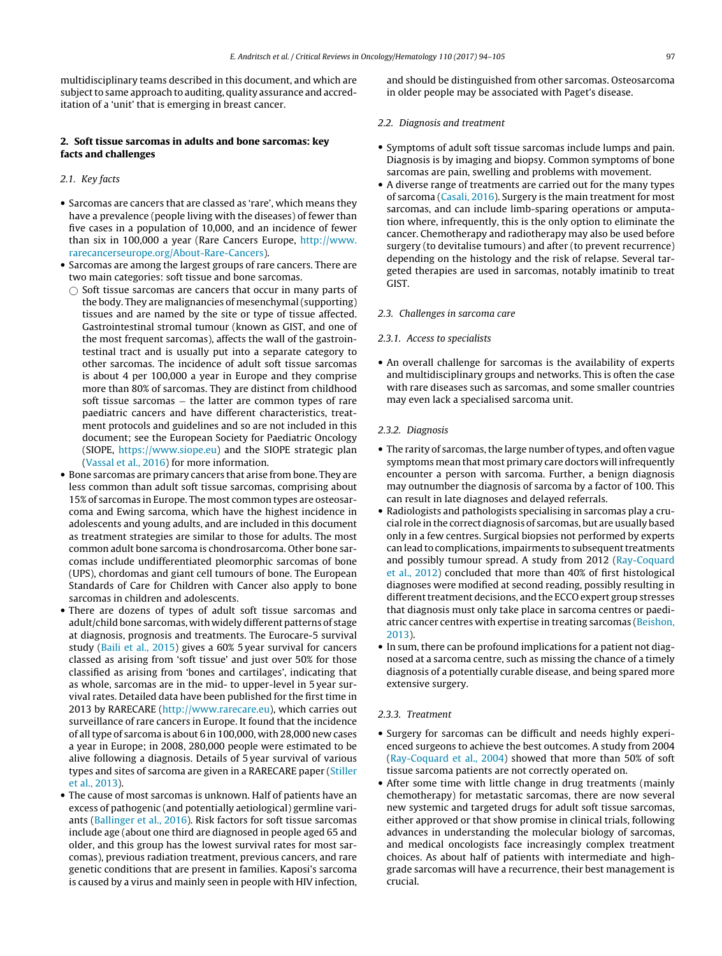multidisciplinary teams described in this document, and which are subject to same approach to auditing, quality assurance and accreditation of a 'unit' that is emerging in breast cancer.

## **2. Soft tissue sarcomas in adults and bone sarcomas: key facts and challenges**

## 2.1. Key facts

- Sarcomas are cancers that are classed as 'rare', which means they have a prevalence (people living with the diseases) of fewer than five cases in a population of 10,000, and an incidence of fewer than six in 100,000 a year (Rare Cancers Europe, [http://www.](http://www.rarecancerseurope.org/About-Rare-Cancers) [rarecancerseurope.org/About-Rare-Cancers](http://www.rarecancerseurope.org/About-Rare-Cancers)).
- Sarcomas are among the largest groups of rare cancers. There are two main categories: soft tissue and bone sarcomas.
- $\bigcirc$  Soft tissue sarcomas are cancers that occur in many parts of the body. They are malignancies of mesenchymal(supporting) tissues and are named by the site or type of tissue affected. Gastrointestinal stromal tumour (known as GIST, and one of the most frequent sarcomas), affects the wall of the gastrointestinal tract and is usually put into a separate category to other sarcomas. The incidence of adult soft tissue sarcomas is about 4 per 100,000 a year in Europe and they comprise more than 80% of sarcomas. They are distinct from childhood soft tissue sarcomas – the latter are common types of rare paediatric cancers and have different characteristics, treatment protocols and guidelines and so are not included in this document; see the European Society for Paediatric Oncology (SIOPE, <https://www.siope.eu>) and the SIOPE strategic plan [\(Vassal](#page-11-0) et [al.,](#page-11-0) [2016\)](#page-11-0) for more information.
- Bone sarcomas are primary cancers that arise from bone. They are less common than adult soft tissue sarcomas, comprising about 15% of sarcomas in Europe. The most common types are osteosarcoma and Ewing sarcoma, which have the highest incidence in adolescents and young adults, and are included in this document as treatment strategies are similar to those for adults. The most common adult bone sarcoma is chondrosarcoma. Other bone sarcomas include undifferentiated pleomorphic sarcomas of bone (UPS), chordomas and giant cell tumours of bone. The European Standards of Care for Children with Cancer also apply to bone sarcomas in children and adolescents.
- There are dozens of types of adult soft tissue sarcomas and adult/child bone sarcomas, with widely different patterns of stage at diagnosis, prognosis and treatments. The Eurocare-5 survival study [\(Baili](#page-10-0) et [al.,](#page-10-0) [2015\)](#page-10-0) gives a 60% 5 year survival for cancers classed as arising from 'soft tissue' and just over 50% for those classified as arising from 'bones and cartilages', indicating that as whole, sarcomas are in the mid- to upper-level in 5 year survival rates. Detailed data have been published for the first time in 2013 by RARECARE [\(http://www.rarecare.eu](http://www.rarecare.eu)), which carries out surveillance of rare cancers in Europe. It found that the incidence of all type of sarcoma is about 6 in 100,000, with 28,000 new cases a year in Europe; in 2008, 280,000 people were estimated to be alive following a diagnosis. Details of 5 year survival of various types and sites of sarcoma are given in a RARECARE paper ([Stiller](#page-11-0) et [al.,](#page-11-0) [2013\).](#page-11-0)
- The cause of most sarcomas is unknown. Half of patients have an excess of pathogenic (and potentially aetiological) germline variants ([Ballinger](#page-10-0) et [al.,](#page-10-0) [2016\).](#page-10-0) Risk factors for soft tissue sarcomas include age (about one third are diagnosed in people aged 65 and older, and this group has the lowest survival rates for most sarcomas), previous radiation treatment, previous cancers, and rare genetic conditions that are present in families. Kaposi's sarcoma is caused by a virus and mainly seen in people with HIV infection,

and should be distinguished from other sarcomas. Osteosarcoma in older people may be associated with Paget's disease.

#### 2.2. Diagnosis and treatment

- Symptoms of adult soft tissue sarcomas include lumps and pain. Diagnosis is by imaging and biopsy. Common symptoms of bone sarcomas are pain, swelling and problems with movement.
- A diverse range of treatments are carried out for the many types of sarcoma ([Casali,](#page-10-0) [2016\).](#page-10-0) Surgery is the main treatment for most sarcomas, and can include limb-sparing operations or amputation where, infrequently, this is the only option to eliminate the cancer. Chemotherapy and radiotherapy may also be used before surgery (to devitalise tumours) and after (to prevent recurrence) depending on the histology and the risk of relapse. Several targeted therapies are used in sarcomas, notably imatinib to treat GIST.

#### 2.3. Challenges in sarcoma care

## 2.3.1. Access to specialists

• An overall challenge for sarcomas is the availability of experts and multidisciplinary groups and networks. This is often the case with rare diseases such as sarcomas, and some smaller countries may even lack a specialised sarcoma unit.

#### 2.3.2. Diagnosis

- The rarity of sarcomas, the large number of types, and often vague symptoms mean that most primary care doctors will infrequently encounter a person with sarcoma. Further, a benign diagnosis may outnumber the diagnosis of sarcoma by a factor of 100. This can result in late diagnoses and delayed referrals.
- Radiologists and pathologists specialising in sarcomas play a crucial role in the correct diagnosis of sarcomas, but are usually based only in a few centres. Surgical biopsies not performed by experts can lead to complications, impairments to subsequent treatments and possibly tumour spread. A study from 2012 [\(Ray-Coquard](#page-11-0) et [al.,](#page-11-0) [2012\)](#page-11-0) concluded that more than 40% of first histological diagnoses were modified at second reading, possibly resulting in different treatment decisions, and the ECCO expert group stresses that diagnosis must only take place in sarcoma centres or paediatric cancer centres with expertise in treating sarcomas ([Beishon,](#page-10-0) [2013\).](#page-10-0)
- In sum, there can be profound implications for a patient not diagnosed at a sarcoma centre, such as missing the chance of a timely diagnosis of a potentially curable disease, and being spared more extensive surgery.

#### 2.3.3. Treatment

- Surgery for sarcomas can be difficult and needs highly experienced surgeons to achieve the best outcomes. A study from 2004 ([Ray-Coquard](#page-11-0) et [al.,](#page-11-0) [2004\)](#page-11-0) showed that more than 50% of soft tissue sarcoma patients are not correctly operated on.
- After some time with little change in drug treatments (mainly chemotherapy) for metastatic sarcomas, there are now several new systemic and targeted drugs for adult soft tissue sarcomas, either approved or that show promise in clinical trials, following advances in understanding the molecular biology of sarcomas, and medical oncologists face increasingly complex treatment choices. As about half of patients with intermediate and highgrade sarcomas will have a recurrence, their best management is crucial.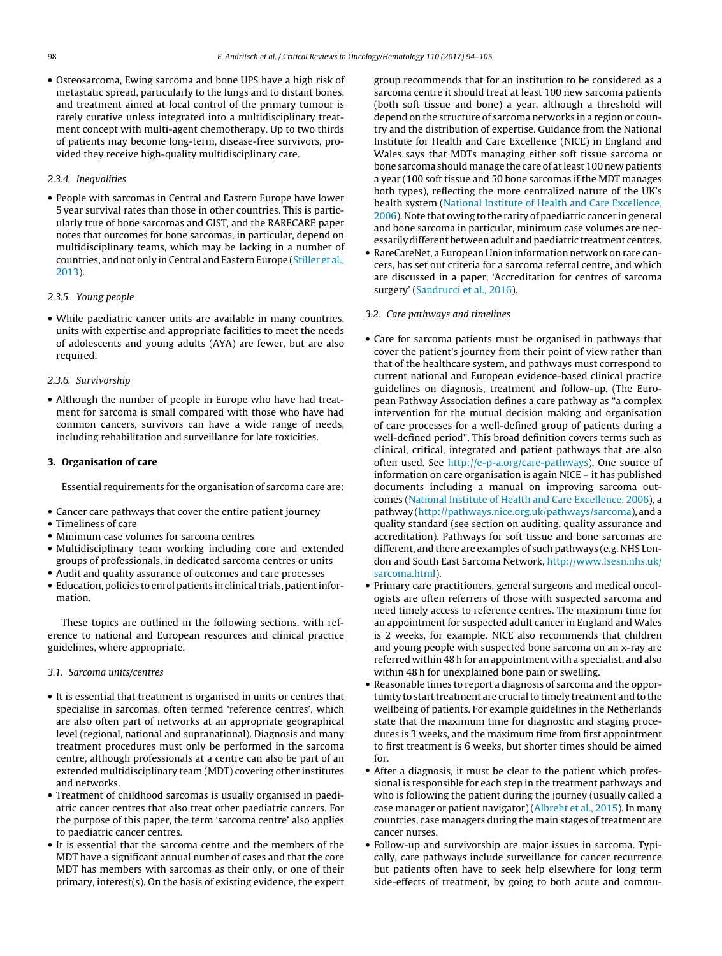• Osteosarcoma, Ewing sarcoma and bone UPS have a high risk of metastatic spread, particularly to the lungs and to distant bones, and treatment aimed at local control of the primary tumour is rarely curative unless integrated into a multidisciplinary treatment concept with multi-agent chemotherapy. Up to two thirds of patients may become long-term, disease-free survivors, provided they receive high-quality multidisciplinary care.

#### 2.3.4. Inequalities

• People with sarcomas in Central and Eastern Europe have lower 5 year survival rates than those in other countries. This is particularly true of bone sarcomas and GIST, and the RARECARE paper notes that outcomes for bone sarcomas, in particular, depend on multidisciplinary teams, which may be lacking in a number of countries, and not only in Central and Eastern Europe [\(Stiller](#page-11-0) et [al.,](#page-11-0) [2013\).](#page-11-0)

## 2.3.5. Young people

• While paediatric cancer units are available in many countries, units with expertise and appropriate facilities to meet the needs of adolescents and young adults (AYA) are fewer, but are also required.

#### 2.3.6. Survivorship

• Although the number of people in Europe who have had treatment for sarcoma is small compared with those who have had common cancers, survivors can have a wide range of needs, including rehabilitation and surveillance for late toxicities.

## **3. Organisation of care**

Essential requirements for the organisation of sarcoma care are:

- Cancer care pathways that cover the entire patient journey
- Timeliness of care
- Minimum case volumes for sarcoma centres
- Multidisciplinary team working including core and extended groups of professionals, in dedicated sarcoma centres or units
- Audit and quality assurance of outcomes and care processes
- Education, policies to enrol patients in clinical trials, patient information.

These topics are outlined in the following sections, with reference to national and European resources and clinical practice guidelines, where appropriate.

## 3.1. Sarcoma units/centres

- It is essential that treatment is organised in units or centres that specialise in sarcomas, often termed 'reference centres', which are also often part of networks at an appropriate geographical level (regional, national and supranational). Diagnosis and many treatment procedures must only be performed in the sarcoma centre, although professionals at a centre can also be part of an extended multidisciplinary team (MDT) covering other institutes and networks.
- Treatment of childhood sarcomas is usually organised in paediatric cancer centres that also treat other paediatric cancers. For the purpose of this paper, the term 'sarcoma centre' also applies to paediatric cancer centres.
- It is essential that the sarcoma centre and the members of the MDT have a significant annual number of cases and that the core MDT has members with sarcomas as their only, or one of their primary, interest(s). On the basis of existing evidence, the expert

group recommends that for an institution to be considered as a sarcoma centre it should treat at least 100 new sarcoma patients (both soft tissue and bone) a year, although a threshold will depend on the structure of sarcoma networks in a region or country and the distribution of expertise. Guidance from the National Institute for Health and Care Excellence (NICE) in England and Wales says that MDTs managing either soft tissue sarcoma or bone sarcoma should manage the care of atleast 100 new patients a year (100 soft tissue and 50 bone sarcomas if the MDT manages both types), reflecting the more centralized nature of the UK's health system ([National](#page-11-0) [Institute](#page-11-0) [of](#page-11-0) [Health](#page-11-0) [and](#page-11-0) [Care](#page-11-0) [Excellence,](#page-11-0) [2006\).](#page-11-0) Note that owing to the rarity of paediatric cancer in general and bone sarcoma in particular, minimum case volumes are necessarily different between adult and paediatric treatment centres.

• RareCareNet, a European Union information network on rare cancers, has set out criteria for a sarcoma referral centre, and which are discussed in a paper, 'Accreditation for centres of sarcoma surgery' ([Sandrucci](#page-11-0) et [al.,](#page-11-0) [2016\).](#page-11-0)

## 3.2. Care pathways and timelines

- Care for sarcoma patients must be organised in pathways that cover the patient's journey from their point of view rather than that of the healthcare system, and pathways must correspond to current national and European evidence-based clinical practice guidelines on diagnosis, treatment and follow-up. (The European Pathway Association defines a care pathway as "a complex intervention for the mutual decision making and organisation of care processes for a well-defined group of patients during a well-defined period". This broad definition covers terms such as clinical, critical, integrated and patient pathways that are also often used. See <http://e-p-a.org/care-pathways>). One source of information on care organisation is again NICE – it has published documents including a manual on improving sarcoma outcomes [\(National](#page-11-0) [Institute](#page-11-0) [of](#page-11-0) [Health](#page-11-0) [and](#page-11-0) [Care](#page-11-0) [Excellence,](#page-11-0) [2006\),](#page-11-0) a pathway [\(http://pathways.nice.org.uk/pathways/sarcoma\)](http://pathways.nice.org.uk/pathways/sarcoma), anda quality standard (see section on auditing, quality assurance and accreditation). Pathways for soft tissue and bone sarcomas are different, and there are examples of such pathways (e.g. NHS London and South East Sarcoma Network, [http://www.lsesn.nhs.uk/](http://www.lsesn.nhs.uk/sarcoma.html) [sarcoma.html\)](http://www.lsesn.nhs.uk/sarcoma.html).
- Primary care practitioners, general surgeons and medical oncologists are often referrers of those with suspected sarcoma and need timely access to reference centres. The maximum time for an appointment for suspected adult cancer in England and Wales is 2 weeks, for example. NICE also recommends that children and young people with suspected bone sarcoma on an x-ray are referred within 48 h for an appointment with a specialist, and also within 48 h for unexplained bone pain or swelling.
- Reasonable times to report a diagnosis of sarcoma and the opportunity to start treatment are crucial to timely treatment and to the wellbeing of patients. For example guidelines in the Netherlands state that the maximum time for diagnostic and staging procedures is 3 weeks, and the maximum time from first appointment to first treatment is 6 weeks, but shorter times should be aimed for.
- After a diagnosis, it must be clear to the patient which professional is responsible for each step in the treatment pathways and who is following the patient during the journey (usually called a case manager or patient navigator) ([Albreht](#page-10-0) et [al.,](#page-10-0) [2015\).](#page-10-0) In many countries, case managers during the main stages of treatment are cancer nurses.
- Follow-up and survivorship are major issues in sarcoma. Typically, care pathways include surveillance for cancer recurrence but patients often have to seek help elsewhere for long term side-effects of treatment, by going to both acute and commu-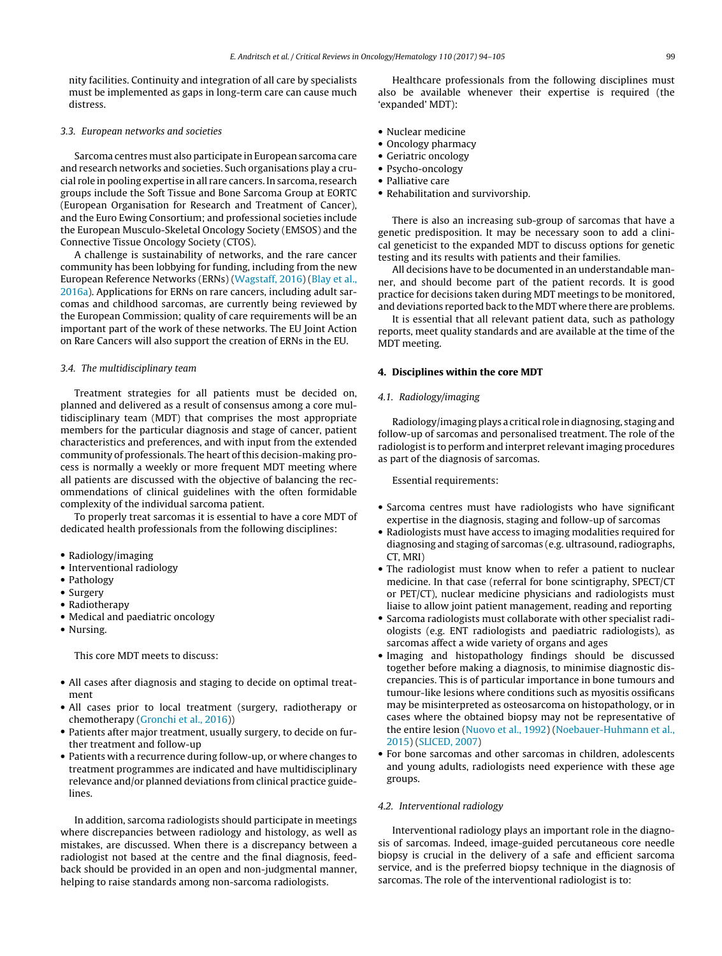nity facilities. Continuity and integration of all care by specialists must be implemented as gaps in long-term care can cause much distress.

#### 3.3. European networks and societies

Sarcoma centres must also participate in European sarcoma care and research networks and societies. Such organisations play a crucial role in pooling expertise in all rare cancers. In sarcoma, research groups include the Soft Tissue and Bone Sarcoma Group at EORTC (European Organisation for Research and Treatment of Cancer), and the Euro Ewing Consortium; and professional societies include the European Musculo-Skeletal Oncology Society (EMSOS) and the Connective Tissue Oncology Society (CTOS).

A challenge is sustainability of networks, and the rare cancer community has been lobbying for funding, including from the new European Reference Networks (ERNs) ([Wagstaff,](#page-11-0) [2016\)](#page-11-0) ([Blay](#page-10-0) et [al.,](#page-10-0) [2016a\).](#page-10-0) Applications for ERNs on rare cancers, including adult sarcomas and childhood sarcomas, are currently being reviewed by the European Commission; quality of care requirements will be an important part of the work of these networks. The EU Joint Action on Rare Cancers will also support the creation of ERNs in the EU.

#### 3.4. The multidisciplinary team

Treatment strategies for all patients must be decided on, planned and delivered as a result of consensus among a core multidisciplinary team (MDT) that comprises the most appropriate members for the particular diagnosis and stage of cancer, patient characteristics and preferences, and with input from the extended community of professionals. The heart of this decision-making process is normally a weekly or more frequent MDT meeting where all patients are discussed with the objective of balancing the recommendations of clinical guidelines with the often formidable complexity of the individual sarcoma patient.

To properly treat sarcomas it is essential to have a core MDT of dedicated health professionals from the following disciplines:

- Radiology/imaging
- Interventional radiology
- Pathology
- Surgery
- Radiotherapy
- Medical and paediatric oncology
- Nursing.

This core MDT meets to discuss:

- All cases after diagnosis and staging to decide on optimal treatment
- All cases prior to local treatment (surgery, radiotherapy or chemotherapy ([Gronchi](#page-11-0) et [al.,](#page-11-0) [2016\)\)](#page-11-0)
- Patients after major treatment, usually surgery, to decide on further treatment and follow-up
- Patients with a recurrence during follow-up, or where changes to treatment programmes are indicated and have multidisciplinary relevance and/or planned deviations from clinical practice guidelines.

In addition, sarcoma radiologists should participate in meetings where discrepancies between radiology and histology, as well as mistakes, are discussed. When there is a discrepancy between a radiologist not based at the centre and the final diagnosis, feedback should be provided in an open and non-judgmental manner, helping to raise standards among non-sarcoma radiologists.

Healthcare professionals from the following disciplines must also be available whenever their expertise is required (the 'expanded' MDT):

- Nuclear medicine
- Oncology pharmacy
- Geriatric oncology
- Psycho-oncology
- Palliative care
- Rehabilitation and survivorship.

There is also an increasing sub-group of sarcomas that have a genetic predisposition. It may be necessary soon to add a clinical geneticist to the expanded MDT to discuss options for genetic testing and its results with patients and their families.

All decisions have to be documented in an understandable manner, and should become part of the patient records. It is good practice for decisions taken during MDT meetings to be monitored, and deviations reported back to the MDT where there are problems.

It is essential that all relevant patient data, such as pathology reports, meet quality standards and are available at the time of the MDT meeting.

#### **4. Disciplines within the core MDT**

#### 4.1. Radiology/imaging

Radiology/imaging plays a critical role in diagnosing, staging and follow-up of sarcomas and personalised treatment. The role of the radiologist is to perform and interpret relevant imaging procedures as part of the diagnosis of sarcomas.

Essential requirements:

- Sarcoma centres must have radiologists who have significant expertise in the diagnosis, staging and follow-up of sarcomas
- Radiologists must have access to imaging modalities required for diagnosing and staging of sarcomas (e.g. ultrasound, radiographs, CT, MRI)
- The radiologist must know when to refer a patient to nuclear medicine. In that case (referral for bone scintigraphy, SPECT/CT or PET/CT), nuclear medicine physicians and radiologists must liaise to allow joint patient management, reading and reporting
- Sarcoma radiologists must collaborate with other specialist radiologists (e.g. ENT radiologists and paediatric radiologists), as sarcomas affect a wide variety of organs and ages
- Imaging and histopathology findings should be discussed together before making a diagnosis, to minimise diagnostic discrepancies. This is of particular importance in bone tumours and tumour-like lesions where conditions such as myositis ossificans may be misinterpreted as osteosarcoma on histopathology, or in cases where the obtained biopsy may not be representative of the entire lesion ([Nuovo](#page-11-0) et [al.,](#page-11-0) [1992\)](#page-11-0) [\(Noebauer-Huhmann](#page-11-0) et [al.,](#page-11-0) [2015\)](#page-11-0) ([SLICED,](#page-11-0) [2007\)](#page-11-0)
- For bone sarcomas and other sarcomas in children, adolescents and young adults, radiologists need experience with these age groups.

#### 4.2. Interventional radiology

Interventional radiology plays an important role in the diagnosis of sarcomas. Indeed, image-guided percutaneous core needle biopsy is crucial in the delivery of a safe and efficient sarcoma service, and is the preferred biopsy technique in the diagnosis of sarcomas. The role of the interventional radiologist is to: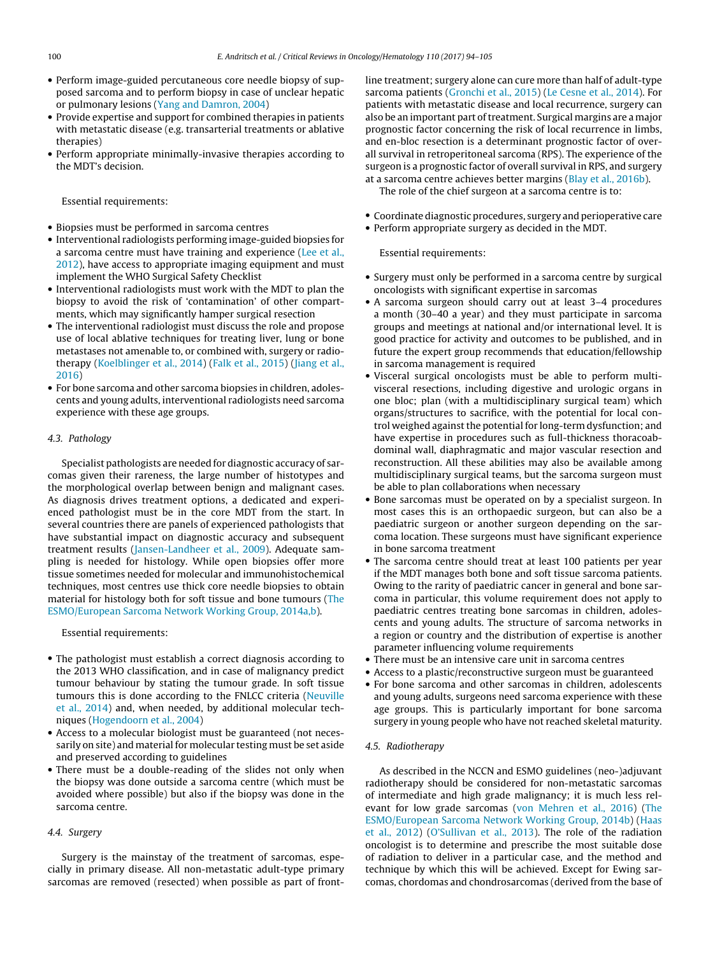- Perform image-guided percutaneous core needle biopsy of supposed sarcoma and to perform biopsy in case of unclear hepatic or pulmonary lesions [\(Yang](#page-11-0) [and](#page-11-0) [Damron,](#page-11-0) [2004\)](#page-11-0)
- Provide expertise and support for combined therapies in patients with metastatic disease (e.g. transarterial treatments or ablative therapies)
- Perform appropriate minimally-invasive therapies according to the MDT's decision.

Essential requirements:

- Biopsies must be performed in sarcoma centres
- Interventional radiologists performing image-guided biopsies for a sarcoma centre must have training and experience [\(Lee](#page-11-0) et [al.,](#page-11-0) [2012\),](#page-11-0) have access to appropriate imaging equipment and must implement the WHO Surgical Safety Checklist
- Interventional radiologists must work with the MDT to plan the biopsy to avoid the risk of 'contamination' of other compartments, which may significantly hamper surgical resection
- The interventional radiologist must discuss the role and propose use of local ablative techniques for treating liver, lung or bone metastases not amenable to, or combined with, surgery or radiotherapy [\(Koelblinger](#page-11-0) et [al.,](#page-11-0) [2014\)](#page-11-0) [\(Falk](#page-10-0) et [al.,](#page-10-0) [2015\)](#page-10-0) [\(Jiang](#page-11-0) et [al.,](#page-11-0) [2016\)](#page-11-0)
- For bone sarcoma and other sarcoma biopsies in children, adolescents and young adults, interventional radiologists need sarcoma experience with these age groups.

#### 4.3. Pathology

Specialist pathologists are needed for diagnostic accuracy of sarcomas given their rareness, the large number of histotypes and the morphological overlap between benign and malignant cases. As diagnosis drives treatment options, a dedicated and experienced pathologist must be in the core MDT from the start. In several countries there are panels of experienced pathologists that have substantial impact on diagnostic accuracy and subsequent treatment results ([Jansen-Landheer](#page-11-0) et [al.,](#page-11-0) [2009\).](#page-11-0) Adequate sampling is needed for histology. While open biopsies offer more tissue sometimes needed for molecular and immunohistochemical techniques, most centres use thick core needle biopsies to obtain material for histology both for soft tissue and bone tumours [\(The](#page-11-0) [ESMO/European](#page-11-0) [Sarcoma](#page-11-0) [Network](#page-11-0) [Working](#page-11-0) [Group,](#page-11-0) [2014a,b\).](#page-11-0)

Essential requirements:

- The pathologist must establish a correct diagnosis according to the 2013 WHO classification, and in case of malignancy predict tumour behaviour by stating the tumour grade. In soft tissue tumours this is done according to the FNLCC criteria ([Neuville](#page-11-0) et [al.,](#page-11-0) [2014\)](#page-11-0) and, when needed, by additional molecular techniques ([Hogendoorn](#page-11-0) et [al.,](#page-11-0) [2004\)](#page-11-0)
- Access to a molecular biologist must be guaranteed (not necessarily on site) and material for molecular testing must be set aside and preserved according to guidelines
- There must be a double-reading of the slides not only when the biopsy was done outside a sarcoma centre (which must be avoided where possible) but also if the biopsy was done in the sarcoma centre.

#### 4.4. Surgery

Surgery is the mainstay of the treatment of sarcomas, especially in primary disease. All non-metastatic adult-type primary sarcomas are removed (resected) when possible as part of frontline treatment; surgery alone can cure more than half of adult-type sarcoma patients [\(Gronchi](#page-10-0) et [al.,](#page-10-0) [2015\)](#page-10-0) ([Le](#page-11-0) [Cesne](#page-11-0) et [al.,](#page-11-0) [2014\).](#page-11-0) For patients with metastatic disease and local recurrence, surgery can also be an important part of treatment. Surgical margins are a major prognostic factor concerning the risk of local recurrence in limbs, and en-bloc resection is a determinant prognostic factor of overall survival in retroperitoneal sarcoma (RPS). The experience of the surgeon is a prognostic factor of overall survival in RPS, and surgery at a sarcoma centre achieves better margins ([Blay](#page-10-0) et [al.,](#page-10-0) [2016b\).](#page-10-0)

The role of the chief surgeon at a sarcoma centre is to:

- Coordinate diagnostic procedures, surgery and perioperative care
- Perform appropriate surgery as decided in the MDT.

Essential requirements:

- Surgery must only be performed in a sarcoma centre by surgical oncologists with significant expertise in sarcomas
- A sarcoma surgeon should carry out at least 3–4 procedures a month (30–40 a year) and they must participate in sarcoma groups and meetings at national and/or international level. It is good practice for activity and outcomes to be published, and in future the expert group recommends that education/fellowship in sarcoma management is required
- Visceral surgical oncologists must be able to perform multivisceral resections, including digestive and urologic organs in one bloc; plan (with a multidisciplinary surgical team) which organs/structures to sacrifice, with the potential for local control weighed against the potential for long-term dysfunction; and have expertise in procedures such as full-thickness thoracoabdominal wall, diaphragmatic and major vascular resection and reconstruction. All these abilities may also be available among multidisciplinary surgical teams, but the sarcoma surgeon must be able to plan collaborations when necessary
- Bone sarcomas must be operated on by a specialist surgeon. In most cases this is an orthopaedic surgeon, but can also be a paediatric surgeon or another surgeon depending on the sarcoma location. These surgeons must have significant experience in bone sarcoma treatment
- The sarcoma centre should treat at least 100 patients per year if the MDT manages both bone and soft tissue sarcoma patients. Owing to the rarity of paediatric cancer in general and bone sarcoma in particular, this volume requirement does not apply to paediatric centres treating bone sarcomas in children, adolescents and young adults. The structure of sarcoma networks in a region or country and the distribution of expertise is another parameter influencing volume requirements
- There must be an intensive care unit in sarcoma centres
- Access to a plastic/reconstructive surgeon must be guaranteed
- For bone sarcoma and other sarcomas in children, adolescents and young adults, surgeons need sarcoma experience with these age groups. This is particularly important for bone sarcoma surgery in young people who have not reached skeletal maturity.

## 4.5. Radiotherapy

As described in the NCCN and ESMO guidelines (neo-)adjuvant radiotherapy should be considered for non-metastatic sarcomas of intermediate and high grade malignancy; it is much less relevant for low grade sarcomas ([von](#page-11-0) [Mehren](#page-11-0) et [al.,](#page-11-0) [2016\)](#page-11-0) ([The](#page-11-0) [ESMO/European](#page-11-0) [Sarcoma](#page-11-0) [Network](#page-11-0) [Working](#page-11-0) [Group,](#page-11-0) [2014b\)](#page-11-0) [\(Haas](#page-11-0) et [al.,](#page-11-0) [2012\)](#page-11-0) ([O'Sullivan](#page-11-0) et [al.,](#page-11-0) [2013\).](#page-11-0) The role of the radiation oncologist is to determine and prescribe the most suitable dose of radiation to deliver in a particular case, and the method and technique by which this will be achieved. Except for Ewing sarcomas, chordomas and chondrosarcomas (derived from the base of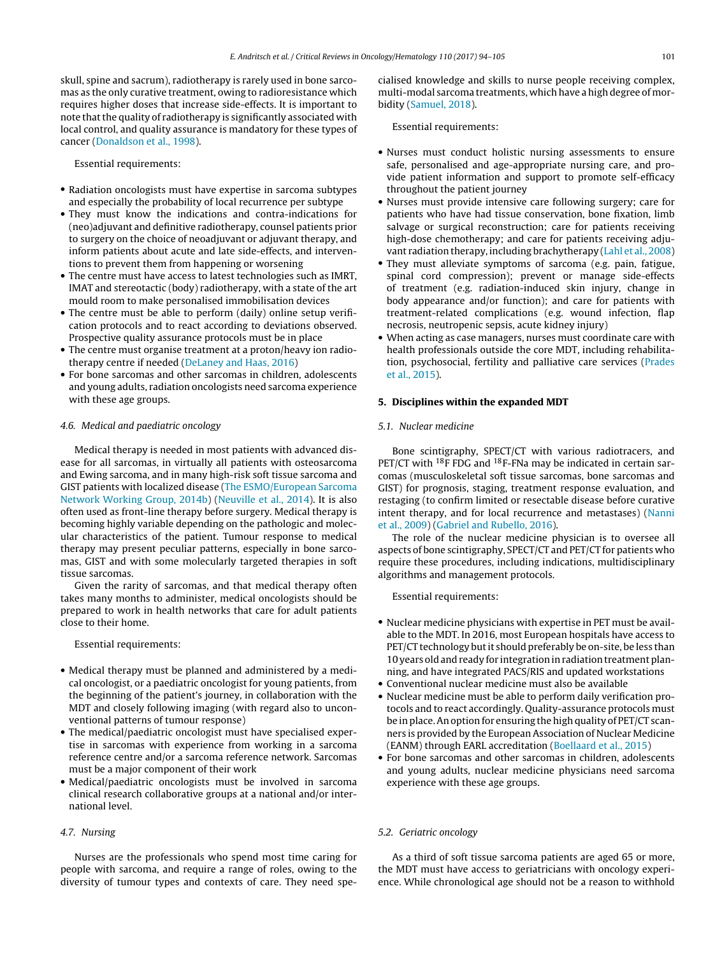skull, spine and sacrum), radiotherapy is rarely used in bone sarcomas as the only curative treatment, owing to radioresistance which requires higher doses that increase side-effects. It is important to note that the quality of radiotherapy is significantly associated with local control, and quality assurance is mandatory for these types of cancer ([Donaldson](#page-10-0) et [al.,](#page-10-0) [1998\).](#page-10-0)

Essential requirements:

- Radiation oncologists must have expertise in sarcoma subtypes and especially the probability of local recurrence per subtype
- They must know the indications and contra-indications for (neo)adjuvant and definitive radiotherapy, counsel patients prior to surgery on the choice of neoadjuvant or adjuvant therapy, and inform patients about acute and late side-effects, and interventions to prevent them from happening or worsening
- The centre must have access to latest technologies such as IMRT, IMAT and stereotactic (body) radiotherapy, with a state of the art mould room to make personalised immobilisation devices
- The centre must be able to perform (daily) online setup verification protocols and to react according to deviations observed. Prospective quality assurance protocols must be in place
- The centre must organise treatment at a proton/heavy ion radiotherapy centre if needed [\(DeLaney](#page-10-0) [and](#page-10-0) [Haas,](#page-10-0) [2016\)](#page-10-0)
- For bone sarcomas and other sarcomas in children, adolescents and young adults, radiation oncologists need sarcoma experience with these age groups.

#### 4.6. Medical and paediatric oncology

Medical therapy is needed in most patients with advanced disease for all sarcomas, in virtually all patients with osteosarcoma and Ewing sarcoma, and in many high-risk soft tissue sarcoma and GIST patients with localized disease [\(The](#page-11-0) [ESMO/European](#page-11-0) [Sarcoma](#page-11-0) [Network](#page-11-0) [Working](#page-11-0) [Group,](#page-11-0) [2014b\)](#page-11-0) ([Neuville](#page-11-0) et [al.,](#page-11-0) [2014\).](#page-11-0) It is also often used as front-line therapy before surgery. Medical therapy is becoming highly variable depending on the pathologic and molecular characteristics of the patient. Tumour response to medical therapy may present peculiar patterns, especially in bone sarcomas, GIST and with some molecularly targeted therapies in soft tissue sarcomas.

Given the rarity of sarcomas, and that medical therapy often takes many months to administer, medical oncologists should be prepared to work in health networks that care for adult patients close to their home.

Essential requirements:

- Medical therapy must be planned and administered by a medical oncologist, or a paediatric oncologist for young patients, from the beginning of the patient's journey, in collaboration with the MDT and closely following imaging (with regard also to unconventional patterns of tumour response)
- The medical/paediatric oncologist must have specialised expertise in sarcomas with experience from working in a sarcoma reference centre and/or a sarcoma reference network. Sarcomas must be a major component of their work
- Medical/paediatric oncologists must be involved in sarcoma clinical research collaborative groups at a national and/or international level.

## 4.7. Nursing

Nurses are the professionals who spend most time caring for people with sarcoma, and require a range of roles, owing to the diversity of tumour types and contexts of care. They need specialised knowledge and skills to nurse people receiving complex, multi-modal sarcoma treatments, which have a high degree of morbidity ([Samuel,](#page-11-0) [2018\).](#page-11-0)

Essential requirements:

- Nurses must conduct holistic nursing assessments to ensure safe, personalised and age-appropriate nursing care, and provide patient information and support to promote self-efficacy throughout the patient journey
- Nurses must provide intensive care following surgery; care for patients who have had tissue conservation, bone fixation, limb salvage or surgical reconstruction; care for patients receiving high-dose chemotherapy; and care for patients receiving adjuvant radiation therapy, including brachytherapy ([Lahl](#page-11-0) et [al.,](#page-11-0) [2008\)](#page-11-0)
- They must alleviate symptoms of sarcoma (e.g. pain, fatigue, spinal cord compression); prevent or manage side-effects of treatment (e.g. radiation-induced skin injury, change in body appearance and/or function); and care for patients with treatment-related complications (e.g. wound infection, flap necrosis, neutropenic sepsis, acute kidney injury)
- When acting as case managers, nurses must coordinate care with health professionals outside the core MDT, including rehabilitation, psychosocial, fertility and palliative care services [\(Prades](#page-11-0) et [al.,](#page-11-0) [2015\).](#page-11-0)

#### **5. Disciplines within the expanded MDT**

#### 5.1. Nuclear medicine

Bone scintigraphy, SPECT/CT with various radiotracers, and PET/CT with  $^{18}$ F FDG and  $^{18}$ F-FNa may be indicated in certain sarcomas (musculoskeletal soft tissue sarcomas, bone sarcomas and GIST) for prognosis, staging, treatment response evaluation, and restaging (to confirm limited or resectable disease before curative intent therapy, and for local recurrence and metastases) ([Nanni](#page-11-0) et [al.,](#page-11-0) [2009\)](#page-11-0) ([Gabriel](#page-10-0) [and](#page-10-0) [Rubello,](#page-10-0) [2016\).](#page-10-0)

The role of the nuclear medicine physician is to oversee all aspects of bone scintigraphy, SPECT/CT and PET/CT for patients who require these procedures, including indications, multidisciplinary algorithms and management protocols.

Essential requirements:

- Nuclear medicine physicians with expertise in PET must be available to the MDT. In 2016, most European hospitals have access to PET/CT technology but it should preferably be on-site, be less than 10 years old and ready for integration in radiation treatment planning, and have integrated PACS/RIS and updated workstations
- Conventional nuclear medicine must also be available
- Nuclear medicine must be able to perform daily verification protocols and to react accordingly. Quality-assurance protocols must be in place.An option for ensuring the high quality of PET/CT scanners is provided by the European Association of Nuclear Medicine (EANM) through EARL accreditation [\(Boellaard](#page-10-0) et [al.,](#page-10-0) [2015\)](#page-10-0)
- For bone sarcomas and other sarcomas in children, adolescents and young adults, nuclear medicine physicians need sarcoma experience with these age groups.

#### 5.2. Geriatric oncology

As a third of soft tissue sarcoma patients are aged 65 or more, the MDT must have access to geriatricians with oncology experience. While chronological age should not be a reason to withhold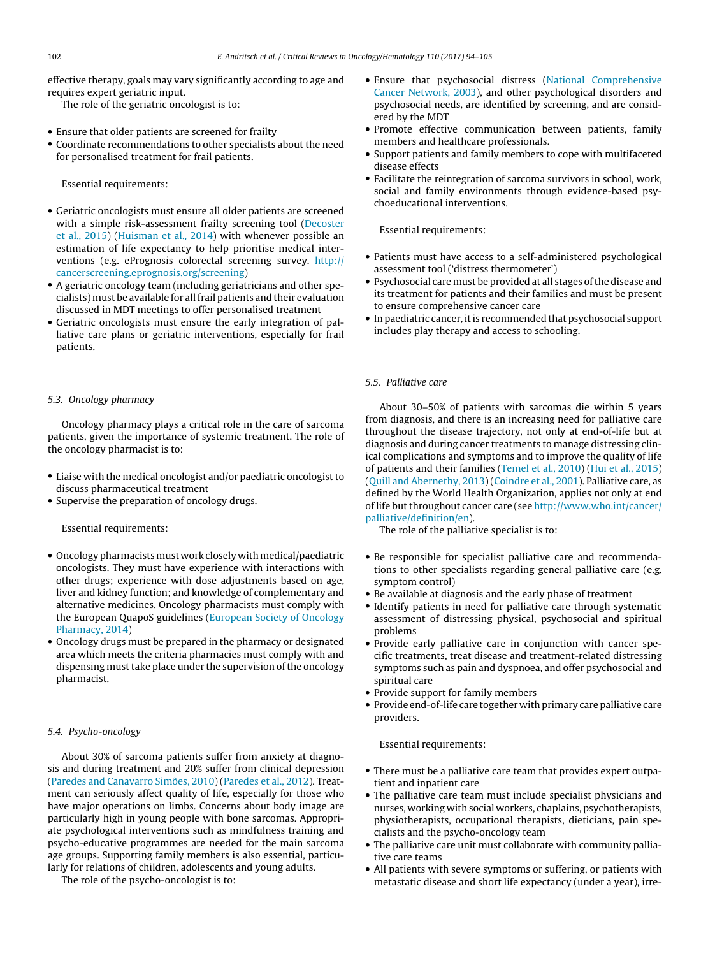effective therapy, goals may vary significantly according to age and requires expert geriatric input.

The role of the geriatric oncologist is to:

- Ensure that older patients are screened for frailty
- Coordinate recommendations to other specialists about the need for personalised treatment for frail patients.

Essential requirements:

- Geriatric oncologists must ensure all older patients are screened with a simple risk-assessment frailty screening tool ([Decoster](#page-10-0) et [al.,](#page-10-0) [2015\)](#page-10-0) ([Huisman](#page-11-0) et [al.,](#page-11-0) [2014\)](#page-11-0) with whenever possible an estimation of life expectancy to help prioritise medical interventions (e.g. ePrognosis colorectal screening survey. [http://](http://cancerscreening.eprognosis.org/screening) [cancerscreening.eprognosis.org/screening\)](http://cancerscreening.eprognosis.org/screening)
- A geriatric oncology team (including geriatricians and other specialists) must be available for allfrail patients and their evaluation discussed in MDT meetings to offer personalised treatment
- Geriatric oncologists must ensure the early integration of palliative care plans or geriatric interventions, especially for frail patients.

#### 5.3. Oncology pharmacy

Oncology pharmacy plays a critical role in the care of sarcoma patients, given the importance of systemic treatment. The role of the oncology pharmacist is to:

- Liaise with the medical oncologist and/or paediatric oncologist to discuss pharmaceutical treatment
- Supervise the preparation of oncology drugs.

#### Essential requirements:

- Oncology pharmacists must work closely with medical/paediatric oncologists. They must have experience with interactions with other drugs; experience with dose adjustments based on age, liver and kidney function; and knowledge of complementary and alternative medicines. Oncology pharmacists must comply with the European QuapoS guidelines [\(European](#page-10-0) [Society](#page-10-0) [of](#page-10-0) [Oncology](#page-10-0) [Pharmacy,](#page-10-0) [2014\)](#page-10-0)
- Oncology drugs must be prepared in the pharmacy or designated area which meets the criteria pharmacies must comply with and dispensing must take place under the supervision of the oncology pharmacist.

#### 5.4. Psycho-oncology

About 30% of sarcoma patients suffer from anxiety at diagnosis and during treatment and 20% suffer from clinical depression ([Paredes](#page-11-0) [and](#page-11-0) [Canavarro](#page-11-0) [Simões,](#page-11-0) [2010\)](#page-11-0) [\(Paredes](#page-11-0) et [al.,](#page-11-0) [2012\).](#page-11-0) Treatment can seriously affect quality of life, especially for those who have major operations on limbs. Concerns about body image are particularly high in young people with bone sarcomas. Appropriate psychological interventions such as mindfulness training and psycho-educative programmes are needed for the main sarcoma age groups. Supporting family members is also essential, particularly for relations of children, adolescents and young adults.

The role of the psycho-oncologist is to:

- Ensure that psychosocial distress [\(National](#page-11-0) [Comprehensive](#page-11-0) [Cancer](#page-11-0) [Network,](#page-11-0) [2003\),](#page-11-0) and other psychological disorders and psychosocial needs, are identified by screening, and are considered by the MDT
- Promote effective communication between patients, family members and healthcare professionals.
- Support patients and family members to cope with multifaceted disease effects
- Facilitate the reintegration of sarcoma survivors in school, work, social and family environments through evidence-based psychoeducational interventions.

Essential requirements:

- Patients must have access to a self-administered psychological assessment tool ('distress thermometer')
- Psychosocial care must be provided at all stages ofthe disease and its treatment for patients and their families and must be present to ensure comprehensive cancer care
- In paediatric cancer, itis recommended that psychosocial support includes play therapy and access to schooling.

## 5.5. Palliative care

About 30–50% of patients with sarcomas die within 5 years from diagnosis, and there is an increasing need for palliative care throughout the disease trajectory, not only at end-of-life but at diagnosis and during cancer treatments to manage distressing clinical complications and symptoms and to improve the quality of life of patients and their families ([Temel](#page-11-0) et [al.,](#page-11-0) [2010\)](#page-11-0) [\(Hui](#page-11-0) et [al.,](#page-11-0) [2015\)](#page-11-0) [\(Quill](#page-11-0) [and](#page-11-0) [Abernethy,](#page-11-0) [2013\)\(](#page-11-0)[Coindre](#page-10-0) et [al.,](#page-10-0) [2001\).](#page-10-0) Palliative care, as defined by the World Health Organization, applies not only at end of life but throughout cancer care (see [http://www.who.int/cancer/](http://www.who.int/cancer/palliative/definition/en) [palliative/definition/en](http://www.who.int/cancer/palliative/definition/en)).

The role of the palliative specialist is to:

- Be responsible for specialist palliative care and recommendations to other specialists regarding general palliative care (e.g. symptom control)
- Be available at diagnosis and the early phase of treatment
- Identify patients in need for palliative care through systematic assessment of distressing physical, psychosocial and spiritual problems
- Provide early palliative care in conjunction with cancer specific treatments, treat disease and treatment-related distressing symptoms such as pain and dyspnoea, and offer psychosocial and spiritual care
- Provide support for family members
- Provide end-of-life care together with primary care palliative care providers.

#### Essential requirements:

- There must be a palliative care team that provides expert outpatient and inpatient care
- The palliative care team must include specialist physicians and nurses, working with social workers, chaplains, psychotherapists, physiotherapists, occupational therapists, dieticians, pain specialists and the psycho-oncology team
- The palliative care unit must collaborate with community palliative care teams
- All patients with severe symptoms or suffering, or patients with metastatic disease and short life expectancy (under a year), irre-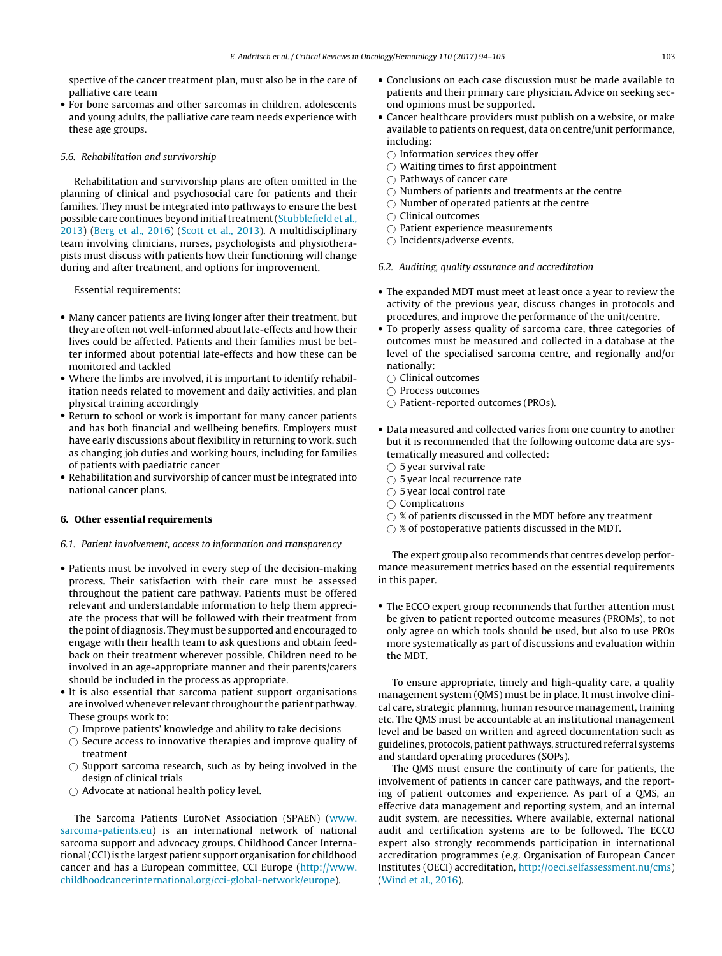spective of the cancer treatment plan, must also be in the care of palliative care team

• For bone sarcomas and other sarcomas in children, adolescents and young adults, the palliative care team needs experience with these age groups.

#### 5.6. Rehabilitation and survivorship

Rehabilitation and survivorship plans are often omitted in the planning of clinical and psychosocial care for patients and their families. They must be integrated into pathways to ensure the best possible care continues beyond initial treatment ([Stubblefield](#page-11-0) et [al.,](#page-11-0) [2013\)](#page-11-0) [\(Berg](#page-10-0) et [al.,](#page-10-0) [2016\)](#page-10-0) [\(Scott](#page-11-0) et [al.,](#page-11-0) [2013\).](#page-11-0) A multidisciplinary team involving clinicians, nurses, psychologists and physiotherapists must discuss with patients how their functioning will change during and after treatment, and options for improvement.

Essential requirements:

- Many cancer patients are living longer after their treatment, but they are often not well-informed about late-effects and how their lives could be affected. Patients and their families must be better informed about potential late-effects and how these can be monitored and tackled
- Where the limbs are involved, it is important to identify rehabilitation needs related to movement and daily activities, and plan physical training accordingly
- Return to school or work is important for many cancer patients and has both financial and wellbeing benefits. Employers must have early discussions about flexibility in returning to work, such as changing job duties and working hours, including for families of patients with paediatric cancer
- Rehabilitation and survivorship of cancer must be integrated into national cancer plans.

## **6. Other essential requirements**

## 6.1. Patient involvement, access to information and transparency

- Patients must be involved in every step of the decision-making process. Their satisfaction with their care must be assessed throughout the patient care pathway. Patients must be offered relevant and understandable information to help them appreciate the process that will be followed with their treatment from the point of diagnosis. They must be supported and encouraged to engage with their health team to ask questions and obtain feedback on their treatment wherever possible. Children need to be involved in an age-appropriate manner and their parents/carers should be included in the process as appropriate.
- It is also essential that sarcoma patient support organisations are involved whenever relevant throughout the patient pathway. These groups work to:
	- $\bigcirc$  Improve patients' knowledge and ability to take decisions
	- $\bigcirc$  Secure access to innovative therapies and improve quality of treatment
	- $\bigcirc$  Support sarcoma research, such as by being involved in the design of clinical trials
	- $\bigcirc$  Advocate at national health policy level.

The Sarcoma Patients EuroNet Association (SPAEN) ([www.](http://www.sarcoma-patients.eu) [sarcoma-patients.eu](http://www.sarcoma-patients.eu)) is an international network of national sarcoma support and advocacy groups. Childhood Cancer International(CCI)is the largest patient support organisation for childhood cancer and has a European committee, CCI Europe [\(http://www.](http://www.childhoodcancerinternational.org/cci-global-network/europe) [childhoodcancerinternational.org/cci-global-network/europe\)](http://www.childhoodcancerinternational.org/cci-global-network/europe).

- Conclusions on each case discussion must be made available to patients and their primary care physician. Advice on seeking second opinions must be supported.
- Cancer healthcare providers must publish on a website, or make available to patients on request, data on centre/unit performance, including:
	- $\bigcap$  Information services they offer
	- $\bigcirc$  Waiting times to first appointment
	- $\bigcap$  Pathways of cancer care
	- $\bigcap$  Numbers of patients and treatments at the centre
	- $\bigcirc$  Number of operated patients at the centre
	- $\bigcirc$  Clinical outcomes
	- $\bigcirc$  Patient experience measurements
	- $\bigcap$  Incidents/adverse events.
- 6.2. Auditing, quality assurance and accreditation
- The expanded MDT must meet at least once a year to review the activity of the previous year, discuss changes in protocols and procedures, and improve the performance of the unit/centre.
- To properly assess quality of sarcoma care, three categories of outcomes must be measured and collected in a database at the level of the specialised sarcoma centre, and regionally and/or nationally:
	- $\cap$  Clinical outcomes
	- $\cap$  Process outcomes
	- $\bigcirc$  Patient-reported outcomes (PROs).
- Data measured and collected varies from one country to another but it is recommended that the following outcome data are systematically measured and collected:
	- $\circ$  5 year survival rate
	- $\bigcirc$  5 year local recurrence rate
	- $\bigcirc$  5 year local control rate
	- $\bigcirc$  Complications
	- $\bigcirc$  % of patients discussed in the MDT before any treatment
	- $\bigcirc$  % of postoperative patients discussed in the MDT.

The expert group also recommends that centres develop performance measurement metrics based on the essential requirements in this paper.

• The ECCO expert group recommends that further attention must be given to patient reported outcome measures (PROMs), to not only agree on which tools should be used, but also to use PROs more systematically as part of discussions and evaluation within the MDT.

To ensure appropriate, timely and high-quality care, a quality management system (QMS) must be in place. It must involve clinical care, strategic planning, human resource management, training etc. The QMS must be accountable at an institutional management level and be based on written and agreed documentation such as guidelines, protocols, patient pathways, structured referral systems and standard operating procedures (SOPs).

The QMS must ensure the continuity of care for patients, the involvement of patients in cancer care pathways, and the reporting of patient outcomes and experience. As part of a QMS, an effective data management and reporting system, and an internal audit system, are necessities. Where available, external national audit and certification systems are to be followed. The ECCO expert also strongly recommends participation in international accreditation programmes (e.g. Organisation of European Cancer Institutes (OECI) accreditation, [http://oeci.selfassessment.nu/cms\)](http://oeci.selfassessment.nu/cms) [\(Wind](#page-11-0) et [al.,](#page-11-0) [2016\).](#page-11-0)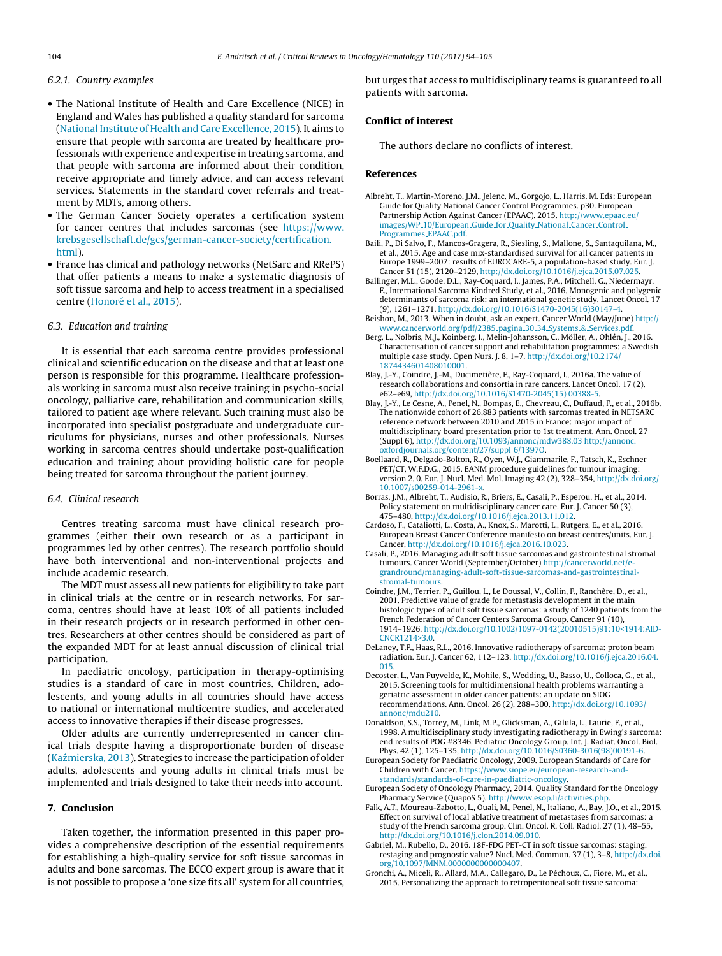#### <span id="page-10-0"></span>6.2.1. Country examples

- The National Institute of Health and Care Excellence (NICE) in England and Wales has published a quality standard for sarcoma [\(National](#page-11-0) [Institute](#page-11-0) [of](#page-11-0) [Health](#page-11-0) [and](#page-11-0) [Care](#page-11-0) [Excellence,](#page-11-0) [2015\).](#page-11-0) It aims to ensure that people with sarcoma are treated by healthcare professionals with experience and expertise in treating sarcoma, and that people with sarcoma are informed about their condition, receive appropriate and timely advice, and can access relevant services. Statements in the standard cover referrals and treatment by MDTs, among others.
- The German Cancer Society operates a certification system for cancer centres that includes sarcomas (see [https://www.](https://www.krebsgesellschaft.de/gcs/german-cancer-society/certification.html) [krebsgesellschaft.de/gcs/german-cancer-society/certification.](https://www.krebsgesellschaft.de/gcs/german-cancer-society/certification.html) [html](https://www.krebsgesellschaft.de/gcs/german-cancer-society/certification.html)).
- France has clinical and pathology networks (NetSarc and RRePS) that offer patients a means to make a systematic diagnosis of soft tissue sarcoma and help to access treatment in a specialised centre ([Honoré](#page-11-0) et [al.,](#page-11-0) [2015\).](#page-11-0)

#### 6.3. Education and training

It is essential that each sarcoma centre provides professional clinical and scientific education on the disease and that at least one person is responsible for this programme. Healthcare professionals working in sarcoma must also receive training in psycho-social oncology, palliative care, rehabilitation and communication skills, tailored to patient age where relevant. Such training must also be incorporated into specialist postgraduate and undergraduate curriculums for physicians, nurses and other professionals. Nurses working in sarcoma centres should undertake post-qualification education and training about providing holistic care for people being treated for sarcoma throughout the patient journey.

#### 6.4. Clinical research

Centres treating sarcoma must have clinical research programmes (either their own research or as a participant in programmes led by other centres). The research portfolio should have both interventional and non-interventional projects and include academic research.

The MDT must assess all new patients for eligibility to take part in clinical trials at the centre or in research networks. For sarcoma, centres should have at least 10% of all patients included in their research projects or in research performed in other centres. Researchers at other centres should be considered as part of the expanded MDT for at least annual discussion of clinical trial participation.

In paediatric oncology, participation in therapy-optimising studies is a standard of care in most countries. Children, adolescents, and young adults in all countries should have access to national or international multicentre studies, and accelerated access to innovative therapies if their disease progresses.

Older adults are currently underrepresented in cancer clinical trials despite having a disproportionate burden of disease (Kaźmierska, [2013\).](#page-11-0) Strategies to increase the participation of older adults, adolescents and young adults in clinical trials must be implemented and trials designed to take their needs into account.

#### **7. Conclusion**

Taken together, the information presented in this paper provides a comprehensive description of the essential requirements for establishing a high-quality service for soft tissue sarcomas in adults and bone sarcomas. The ECCO expert group is aware that it is not possible to propose a 'one size fits all' system for all countries, but urges that access to multidisciplinary teams is guaranteed to all patients with sarcoma.

## **Conflict of interest**

The authors declare no conflicts of interest.

#### **References**

- Albreht, T., Martin-Moreno, J.M., Jelenc, M., Gorgojo, L., Harris, M. Eds: European Guide for Quality National Cancer Control Programmes. p30. European Partnership Action Against Cancer (EPAAC). 2015. [http://www.epaac.eu/](http://www.epaac.eu/images/WP_10/European_Guide_for_Quality_National_Cancer_Control_Programmes_EPAAC.pdf) [images/WP](http://www.epaac.eu/images/WP_10/European_Guide_for_Quality_National_Cancer_Control_Programmes_EPAAC.pdf) [10/European](http://www.epaac.eu/images/WP_10/European_Guide_for_Quality_National_Cancer_Control_Programmes_EPAAC.pdf) [Guide](http://www.epaac.eu/images/WP_10/European_Guide_for_Quality_National_Cancer_Control_Programmes_EPAAC.pdf) [for](http://www.epaac.eu/images/WP_10/European_Guide_for_Quality_National_Cancer_Control_Programmes_EPAAC.pdf) [Quality](http://www.epaac.eu/images/WP_10/European_Guide_for_Quality_National_Cancer_Control_Programmes_EPAAC.pdf) [National](http://www.epaac.eu/images/WP_10/European_Guide_for_Quality_National_Cancer_Control_Programmes_EPAAC.pdf) [Cancer](http://www.epaac.eu/images/WP_10/European_Guide_for_Quality_National_Cancer_Control_Programmes_EPAAC.pdf) [Control](http://www.epaac.eu/images/WP_10/European_Guide_for_Quality_National_Cancer_Control_Programmes_EPAAC.pdf) [Programmes](http://www.epaac.eu/images/WP_10/European_Guide_for_Quality_National_Cancer_Control_Programmes_EPAAC.pdf) [EPAAC.pdf](http://www.epaac.eu/images/WP_10/European_Guide_for_Quality_National_Cancer_Control_Programmes_EPAAC.pdf).
- Baili, P., Di Salvo, F., Mancos-Gragera, R., Siesling, S., Mallone, S., Santaquilana, M., et al., 2015. Age and case mix-standardised survival for all cancer patients in Europe 1999–2007: results of EUROCARE-5, a population-based study. Eur. J. Cancer 51 (15), 2120–2129, [http://dx.doi.org/10.1016/j.ejca.2015.07.025](dx.doi.org/10.1016/j.ejca.2015.07.025).
- Ballinger, M.L., Goode, D.L., Ray-Coquard, I., James, P.A., Mitchell, G., Niedermayr, E., International Sarcoma Kindred Study, et al., 2016. Monogenic and polygenic determinants of sarcoma risk: an international genetic study. Lancet Oncol. 17 (9), 1261–1271, [http://dx.doi.org/10.1016/S1470-2045\(16\)30147-4.](dx.doi.org/10.1016/S1470-2045(16)30147-4)

Beishon, M., 2013. When in doubt, ask an expert. Cancer World (May/June) [http://](http://www.cancerworld.org/pdf/2385_pagina_30_34_Systems_&_Services.pdf) [www.cancerworld.org/pdf/2385](http://www.cancerworld.org/pdf/2385_pagina_30_34_Systems_&_Services.pdf) [pagina](http://www.cancerworld.org/pdf/2385_pagina_30_34_Systems_&_Services.pdf) [30](http://www.cancerworld.org/pdf/2385_pagina_30_34_Systems_&_Services.pdf) [34](http://www.cancerworld.org/pdf/2385_pagina_30_34_Systems_&_Services.pdf) [Systems](http://www.cancerworld.org/pdf/2385_pagina_30_34_Systems_&_Services.pdf) [&](http://www.cancerworld.org/pdf/2385_pagina_30_34_Systems_&_Services.pdf) [Services.pdf.](http://www.cancerworld.org/pdf/2385_pagina_30_34_Systems_&_Services.pdf)

- Berg, L., Nolbris, M.J., Koinberg, I., Melin-Johansson, C., Möller, A., Ohlén, J., 2016. Characterisation of cancer support and rehabilitation programmes: a Swedish multiple case study. Open Nurs. J. 8, 1–7, [http://dx.doi.org/10.2174/](dx.doi.org/10.2174/1874434601408010001) [1874434601408010001](dx.doi.org/10.2174/1874434601408010001).
- Blay, J.-Y., Coindre, J.-M., Ducimetière, F., Ray-Coquard, I., 2016a. The value of research collaborations and consortia in rare cancers. Lancet Oncol. 17 (2), e62–e69, [http://dx.doi.org/10.1016/S1470-2045\(15\)](dx.doi.org/10.1016/S1470-2045(15) 00388-5) 00388[-5](dx.doi.org/10.1016/S1470-2045(15) 00388-5).
- Blay, J.-Y., Le Cesne, A., Penel, N., Bompas, E., Chevreau, C., Duffaud, F., et al., 2016b. The nationwide cohort of 26,883 patients with sarcomas treated in NETSARC reference network between 2010 and 2015 in France: major impact of multidisciplinary board presentation prior to 1st treatment. Ann. Oncol. 27 (Suppl 6), [http://dx.doi.org/10.1093/annonc/mdw388.03](dx.doi.org/10.1093/annonc/mdw388.03) [http://annonc.](http://annonc.oxfordjournals.org/content/27/suppl_6/1397O) [oxfordjournals.org/content/27/suppl](http://annonc.oxfordjournals.org/content/27/suppl_6/1397O) [6/1397O](http://annonc.oxfordjournals.org/content/27/suppl_6/1397O).
- Boellaard, R., Delgado-Bolton, R., Oyen, W.J., Giammarile, F., Tatsch, K., Eschner PET/CT, W.F.D.G., 2015. EANM procedure guidelines for tumour imaging: version 2. 0. Eur. J. Nucl. Med. Mol. Imaging 42 (2), 328–354, [http://dx.doi.org/](dx.doi.org/10.1007/s00259-014-2961-x) [10.1007/s00259-014-2961-x](dx.doi.org/10.1007/s00259-014-2961-x).
- Borras, J.M., Albreht, T., Audisio, R., Briers, E., Casali, P., Esperou, H., et al., 2014. Policy statement on multidisciplinary cancer care. Eur. J. Cancer 50 (3), 475–480, [http://dx.doi.org/10.1016/j.ejca.2013.11.012.](dx.doi.org/10.1016/j.ejca.2013.11.012)
- Cardoso, F., Cataliotti, L., Costa, A., Knox, S., Marotti, L., Rutgers, E., et al., 2016. European Breast Cancer Conference manifesto on breast centres/units. Eur. J. Cancer, [http://dx.doi.org/10.1016/j.ejca.2016.10.023.](dx.doi.org/10.1016/j.ejca.2016.10.023)
- Casali, P., 2016. Managing adult soft tissue sarcomas and gastrointestinal stromal tumours. Cancer World (September/October) [http://cancerworld.net/e](http://cancerworld.net/e-grandround/managing-adult-soft-tissue-sarcomas-and-gastrointestinal-stromal-tumours)[grandround/managing-adult-soft-tissue-sarcomas-and-gastrointestinal](http://cancerworld.net/e-grandround/managing-adult-soft-tissue-sarcomas-and-gastrointestinal-stromal-tumours)[stromal-tumours.](http://cancerworld.net/e-grandround/managing-adult-soft-tissue-sarcomas-and-gastrointestinal-stromal-tumours)
- Coindre, J.M., Terrier, P., Guillou, L., Le Doussal, V., Collin, F., Ranchère, D., et al., 2001. Predictive value of grade for metastasis development in the main histologic types of adult soft tissue sarcomas: a study of 1240 patients from the French Federation of Cancer Centers Sarcoma Group. Cancer 91 (10), 1914–1926, [http://dx.doi.org/10.1002/1097-0142\(20010515\)91:10<1914:AID-](dx.doi.org/10.1002/1097-0142(20010515)91:10<1914:AID-CNCR1214>3.0)[CNCR1214>3.0.](dx.doi.org/10.1002/1097-0142(20010515)91:10<1914:AID-CNCR1214>3.0)
- DeLaney, T.F., Haas, R.L., 2016. Innovative radiotherapy of sarcoma: proton beam radiation. Eur. J. Cancer 62, 112–123, [http://dx.doi.org/10.1016/j.ejca.2016.04.](dx.doi.org/10.1016/j.ejca.2016.04.015) [015.](dx.doi.org/10.1016/j.ejca.2016.04.015)
- Decoster, L., Van Puyvelde, K., Mohile, S., Wedding, U., Basso, U., Colloca, G., et al., 2015. Screening tools for multidimensional health problems warranting a geriatric assessment in older cancer patients: an update on SIOG recommendations. Ann. Oncol. 26 (2), 288–300, [http://dx.doi.org/10.1093/](dx.doi.org/10.1093/annonc/mdu210) [annonc/mdu210.](dx.doi.org/10.1093/annonc/mdu210)
- Donaldson, S.S., Torrey, M., Link, M.P., Glicksman, A., Gilula, L., Laurie, F., et al., 1998. A multidisciplinary study investigating radiotherapy in Ewing's sarcoma: end results of POG #8346. Pediatric Oncology Group. Int. J. Radiat. Oncol. Biol. Phys. 42 (1), 125–135, [http://dx.doi.org/10.1016/S0360-3016\(98\)00191-6](dx.doi.org/10.1016/S0360-3016(98)00191-6).
- European Society for Paediatric Oncology, 2009. European Standards of Care for Children with Cancer. [https://www.siope.eu/european-research-and](https://www.siope.eu/european-research-and-standards/standards-of-care-in-paediatric-oncology)[standards/standards-of-care-in-paediatric-oncology](https://www.siope.eu/european-research-and-standards/standards-of-care-in-paediatric-oncology).
- European Society of Oncology Pharmacy, 2014. Quality Standard for the Oncology Pharmacy Service (QuapoS 5). [http://www.esop.li/activities.php.](http://www.esop.li/activities.php)
- Falk, A.T., Moureau-Zabotto, L., Ouali, M., Penel, N., Italiano, A., Bay, J.O., et al., 2015. Effect on survival of local ablative treatment of metastases from sarcomas: a study of the French sarcoma group. Clin. Oncol. R. Coll. Radiol. 27 (1), 48–55, [http://dx.doi.org/10.1016/j.clon.2014.09.010.](dx.doi.org/10.1016/j.clon.2014.09.010)
- Gabriel, M., Rubello, D., 2016. 18F-FDG PET-CT in soft tissue sarcomas: staging, restaging and prognostic value? Nucl. Med. Commun. 37 (1), 3–8, [http://dx.doi.](dx.doi.org/10.1097/MNM.0000000000000407) [org/10.1097/MNM.0000000000000407.](dx.doi.org/10.1097/MNM.0000000000000407)
- Gronchi, A., Miceli, R., Allard, M.A., Callegaro, D., Le Péchoux, C., Fiore, M., et al., 2015. Personalizing the approach to retroperitoneal soft tissue sarcoma: